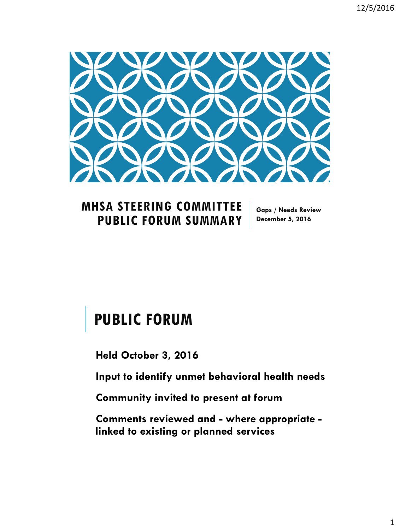

### **MHSA STEERING COMMITTEE PUBLIC FORUM SUMMARY**

**Gaps / Needs Review December 5, 2016**

# **PUBLIC FORUM**

**Held October 3, 2016**

**Input to identify unmet behavioral health needs** 

**Community invited to present at forum**

**Comments reviewed and - where appropriate linked to existing or planned services**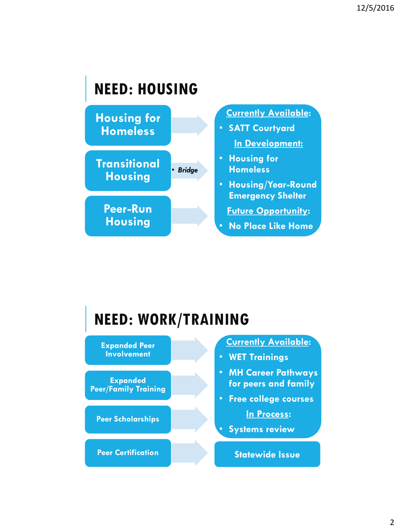# **NEED: HOUSING**



# **NEED: WORK/TRAINING**

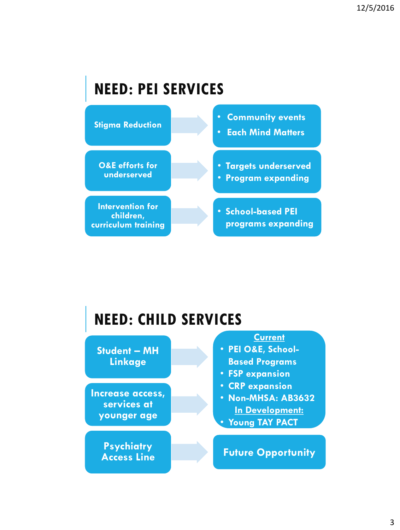# **NEED: PEI SERVICES**



# **NEED: CHILD SERVICES**

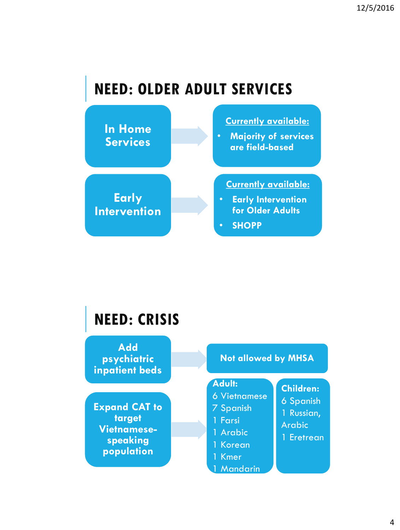# **NEED: OLDER ADULT SERVICES**



## **NEED: CRISIS**

**Add psychiatric inpatient beds**

**Expand CAT to target Vietnamesespeaking population**

#### **Not allowed by MHSA**

**Children:** 6 Spanish 1 Russian, Arabic 1 Eretrean

**Adult:** 

- 6 Vietnamese
- 7 Spanish
- 1 Farsi
- 1 Arabic
- 1 Korean
- 1 Kmer
- 1 Mandarin

4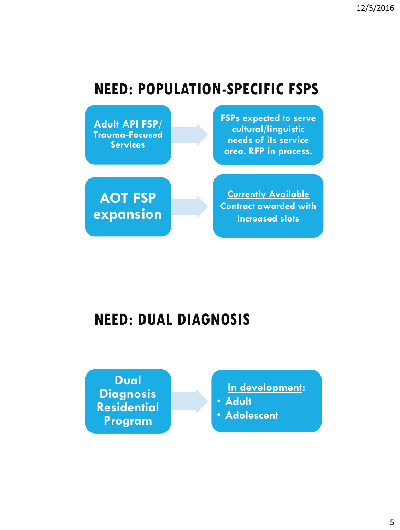# **NEED: POPULATION-SPECIFIC FSPS**

**Adult API FSP/ Trauma-Focused Services**

**FSPs expected to serve cultural/linguistic needs of its service area. RFP in process.**

**AOT FSP expansion**

**Currently Available Contract awarded with increased slots**

# **NEED: DUAL DIAGNOSIS**

**Dual Diagnosis Residential Program**

**In development:**

- **Adult**
- **Adolescent**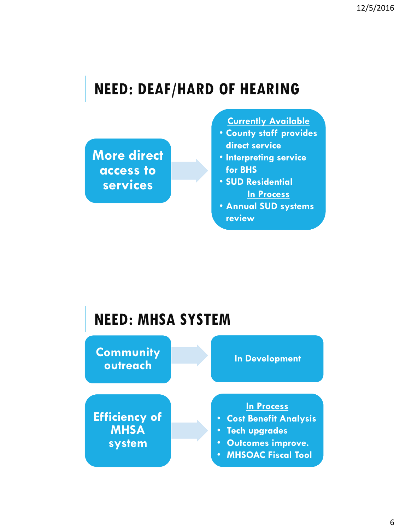# **NEED: DEAF/HARD OF HEARING**

**More direct access to services**

**Currently Available**

- **County staff provides direct service**
- **Interpreting service for BHS**
- **SUD Residential In Process**
- **Annual SUD systems review**

# **NEED: MHSA SYSTEM**